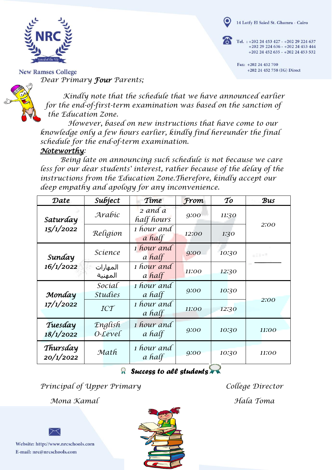

Tel. : +202 24 453 427 - +202 29 224 637 +202 29 224 636 - +202 24 453 444  $+20224452635 - +20224453532$ 

> Fax: +202 24 452 700 +202 24 452 758 (IG) Direct



**New Ramses College** *Dear Primary Four Parents;*

> *Kindly note that the schedule that we have announced earlier for the end-of-first-term examination was based on the sanction of the Education Zone.*

*However, based on new instructions that have come to our knowledge only a few hours earlier, kindly find hereunder the final schedule for the end-of-term examination.*

## *Noteworthy:*

*Being late on announcing such schedule is not because we care less for our dear students' interest, rather because of the delay of the instructions from the Education Zone.Therefore, kindly accept our deep empathy and apology for any inconvenience.*

| Date                  | Subject                         | Time                        | From  | $\mathcal{T}o$ | Bus   |
|-----------------------|---------------------------------|-----------------------------|-------|----------------|-------|
| Saturday<br>15/1/2022 | Arabic                          | 2 and a<br>half hours       | 9:00  | 11:30          | 2:00  |
|                       | Religion                        | 1 hour and<br>a half        | 12:00 | 1:30           |       |
| Sunday<br>16/1/2022   | Science                         | 1 hour and<br>a half        | 9:00  | 10:30          | ■ 新田市 |
|                       | المهارات<br>المهنية             | 1 hour and<br>a half        | 11:00 | 12:30          |       |
| Monday<br>17/1/2022   | Social<br><i><b>Studies</b></i> | 1 hour and<br>a half        | 9:00  | 10:30          |       |
|                       | ICT                             | 1 hour and<br>a half        | 11:00 | 12:30          | 2:00  |
| Tuesday<br>18/1/2022  | English<br>$0$ -Level           | <i>i</i> hour and<br>a half | 9:00  | 10:30          | 11:00 |
| Thursday<br>20/1/2022 | Math                            | 1 hour and<br>a half        | 9:00  | 10:30          | 11:00 |

## *Success to all students*

*Principal of Upper Primary College Director*

*Mona Kamal Hala Toma*

Website: http://www.nrcschools.com E-mail: nrc@nrcschools.com